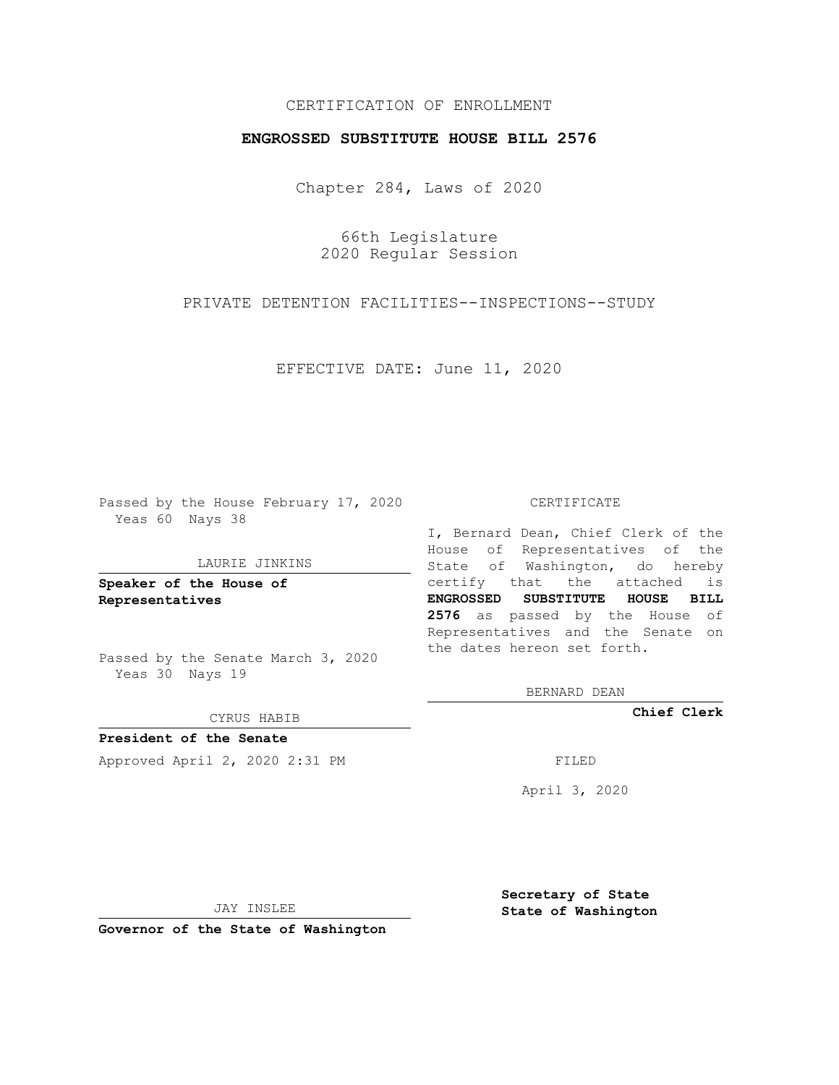# CERTIFICATION OF ENROLLMENT

### **ENGROSSED SUBSTITUTE HOUSE BILL 2576**

Chapter 284, Laws of 2020

66th Legislature 2020 Regular Session

PRIVATE DETENTION FACILITIES--INSPECTIONS--STUDY

EFFECTIVE DATE: June 11, 2020

Passed by the House February 17, 2020 Yeas 60 Nays 38

#### LAURIE JINKINS

**Speaker of the House of Representatives**

Passed by the Senate March 3, 2020 Yeas 30 Nays 19

CYRUS HABIB

**President of the Senate** Approved April 2, 2020 2:31 PM

CERTIFICATE

I, Bernard Dean, Chief Clerk of the House of Representatives of the State of Washington, do hereby certify that the attached is **ENGROSSED SUBSTITUTE HOUSE BILL 2576** as passed by the House of Representatives and the Senate on the dates hereon set forth.

BERNARD DEAN

**Chief Clerk**

April 3, 2020

JAY INSLEE

**Governor of the State of Washington**

**Secretary of State State of Washington**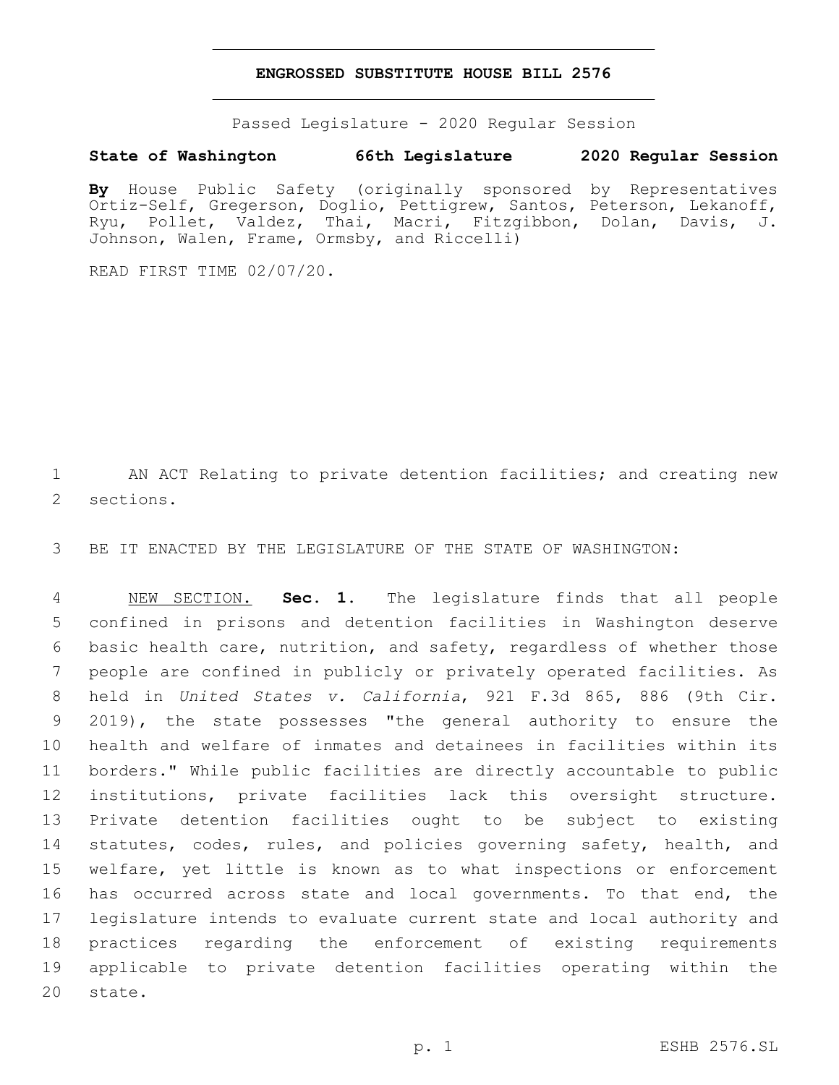### **ENGROSSED SUBSTITUTE HOUSE BILL 2576**

Passed Legislature - 2020 Regular Session

## **State of Washington 66th Legislature 2020 Regular Session**

**By** House Public Safety (originally sponsored by Representatives Ortiz-Self, Gregerson, Doglio, Pettigrew, Santos, Peterson, Lekanoff, Ryu, Pollet, Valdez, Thai, Macri, Fitzgibbon, Dolan, Davis, J. Johnson, Walen, Frame, Ormsby, and Riccelli)

READ FIRST TIME 02/07/20.

1 AN ACT Relating to private detention facilities; and creating new 2 sections.

3 BE IT ENACTED BY THE LEGISLATURE OF THE STATE OF WASHINGTON:

 NEW SECTION. **Sec. 1.** The legislature finds that all people confined in prisons and detention facilities in Washington deserve basic health care, nutrition, and safety, regardless of whether those people are confined in publicly or privately operated facilities. As held in *United States v. California*, 921 F.3d 865, 886 (9th Cir. 2019), the state possesses "the general authority to ensure the health and welfare of inmates and detainees in facilities within its borders." While public facilities are directly accountable to public institutions, private facilities lack this oversight structure. Private detention facilities ought to be subject to existing 14 statutes, codes, rules, and policies governing safety, health, and welfare, yet little is known as to what inspections or enforcement 16 has occurred across state and local governments. To that end, the legislature intends to evaluate current state and local authority and practices regarding the enforcement of existing requirements applicable to private detention facilities operating within the 20 state.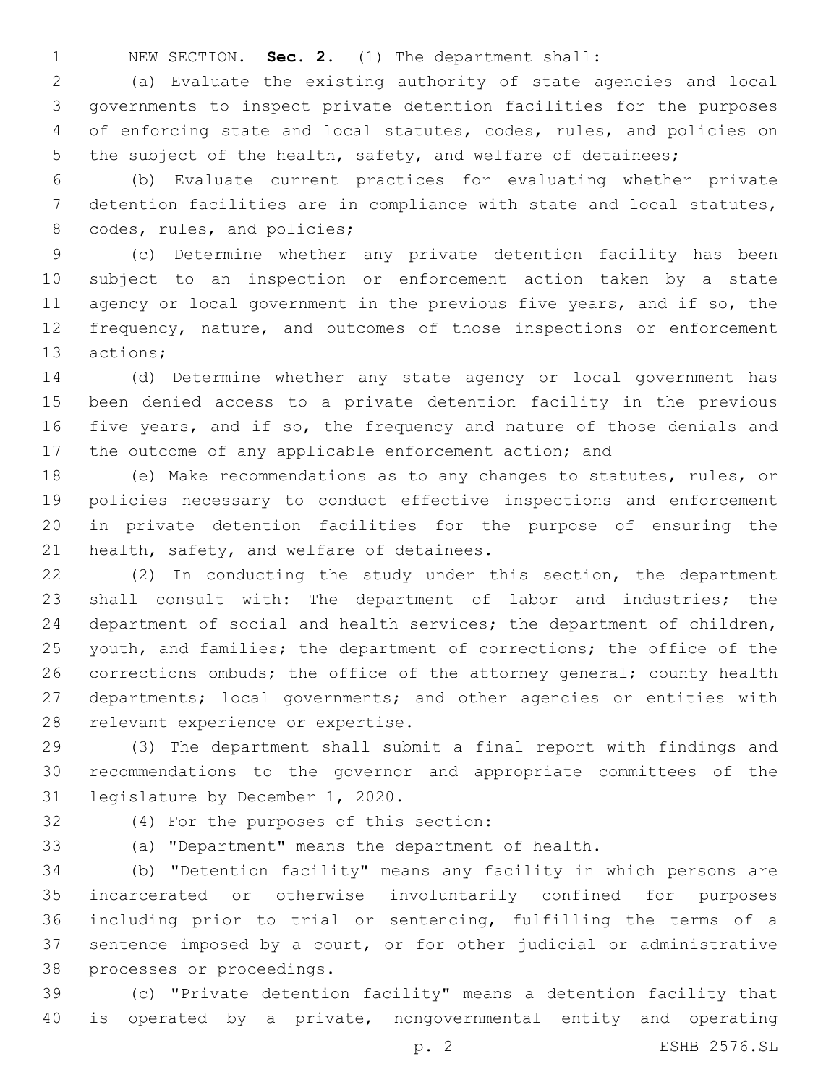NEW SECTION. **Sec. 2.** (1) The department shall:

 (a) Evaluate the existing authority of state agencies and local governments to inspect private detention facilities for the purposes of enforcing state and local statutes, codes, rules, and policies on 5 the subject of the health, safety, and welfare of detainees;

 (b) Evaluate current practices for evaluating whether private detention facilities are in compliance with state and local statutes, 8 codes, rules, and policies;

 (c) Determine whether any private detention facility has been subject to an inspection or enforcement action taken by a state 11 agency or local government in the previous five years, and if so, the 12 frequency, nature, and outcomes of those inspections or enforcement 13 actions;

 (d) Determine whether any state agency or local government has been denied access to a private detention facility in the previous five years, and if so, the frequency and nature of those denials and 17 the outcome of any applicable enforcement action; and

 (e) Make recommendations as to any changes to statutes, rules, or policies necessary to conduct effective inspections and enforcement in private detention facilities for the purpose of ensuring the 21 health, safety, and welfare of detainees.

 (2) In conducting the study under this section, the department 23 shall consult with: The department of labor and industries; the department of social and health services; the department of children, 25 youth, and families; the department of corrections; the office of the 26 corrections ombuds; the office of the attorney general; county health departments; local governments; and other agencies or entities with 28 relevant experience or expertise.

 (3) The department shall submit a final report with findings and recommendations to the governor and appropriate committees of the 31 legislature by December 1, 2020.

(4) For the purposes of this section:32

(a) "Department" means the department of health.

 (b) "Detention facility" means any facility in which persons are incarcerated or otherwise involuntarily confined for purposes including prior to trial or sentencing, fulfilling the terms of a sentence imposed by a court, or for other judicial or administrative 38 processes or proceedings.

 (c) "Private detention facility" means a detention facility that is operated by a private, nongovernmental entity and operating